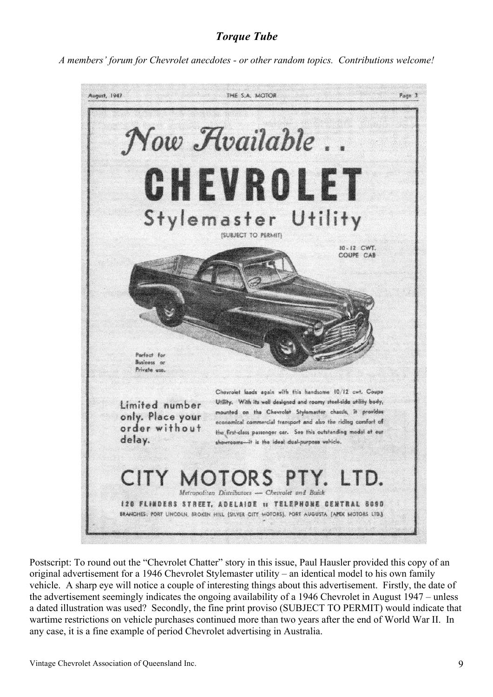## *Torque Tube*

*A members' forum for Chevrolet anecdotes - or other random topics. Contributions welcome!*



Postscript: To round out the "Chevrolet Chatter" story in this issue, Paul Hausler provided this copy of an original advertisement for a 1946 Chevrolet Stylemaster utility – an identical model to his own family vehicle. A sharp eye will notice a couple of interesting things about this advertisement. Firstly, the date of the advertisement seemingly indicates the ongoing availability of a 1946 Chevrolet in August 1947 – unless a dated illustration was used? Secondly, the fine print proviso (SUBJECT TO PERMIT) would indicate that wartime restrictions on vehicle purchases continued more than two years after the end of World War II. In any case, it is a fine example of period Chevrolet advertising in Australia.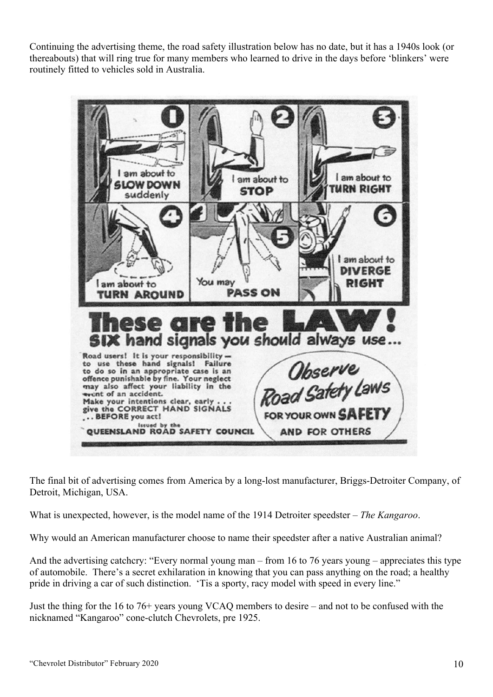Continuing the advertising theme, the road safety illustration below has no date, but it has a 1940s look (or thereabouts) that will ring true for many members who learned to drive in the days before 'blinkers' were routinely fitted to vehicles sold in Australia.



The final bit of advertising comes from America by a long-lost manufacturer, Briggs-Detroiter Company, of Detroit, Michigan, USA.

What is unexpected, however, is the model name of the 1914 Detroiter speedster – *The Kangaroo*.

Why would an American manufacturer choose to name their speedster after a native Australian animal?

And the advertising catchcry: "Every normal young man – from 16 to 76 years young – appreciates this type of automobile. There's a secret exhilaration in knowing that you can pass anything on the road; a healthy pride in driving a car of such distinction. 'Tis a sporty, racy model with speed in every line."

Just the thing for the 16 to 76+ years young VCAQ members to desire – and not to be confused with the nicknamed "Kangaroo" cone-clutch Chevrolets, pre 1925.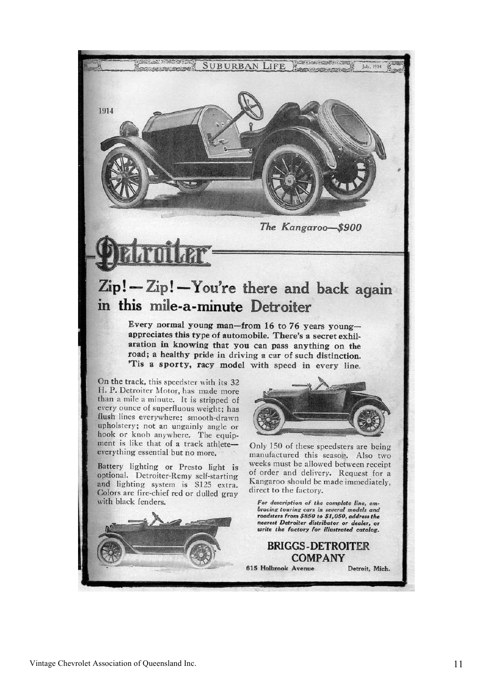

The Kangaroo-\$900

## Zip!-Zip!-You're there and back again in this mile-a-minute Detroiter

Every normal young man-from 16 to 76 years youngappreciates this type of automobile. There's a secret exhilaration in knowing that you can pass anything on the road; a healthy pride in driving a car of such distinction. 'Tis a sporty, racy model with speed in every line.

On the track, this speedster with its 32 H. P. Detroiter Motor, has made more than a mile a minute. It is stripped of every ounce of superfluous weight; has flush lines everywhere; smooth-drawn upholstery; not an ungainly angle or hook or knob anywhere. The equipment is like that of a track athleteeverything essential but no more.

Battery lighting or Presto light is optional. Detroiter-Remy self-starting and lighting system is \$125 extra. Colors are fire-chief red or dulled gray with black fenders.



Only 150 of these speedsters are being manufactured this season. Also two weeks must be allowed between receipt of order and delivery. Request for a Kangaroo should be made immediately, direct to the factory.

For description of the complete line, embracing touring cars in several models and roadsters from \$850 to \$1,050, address the nearest Detroiter distributor or dealer, or write the factory for illustrated catalog.

Detroit, Mich.